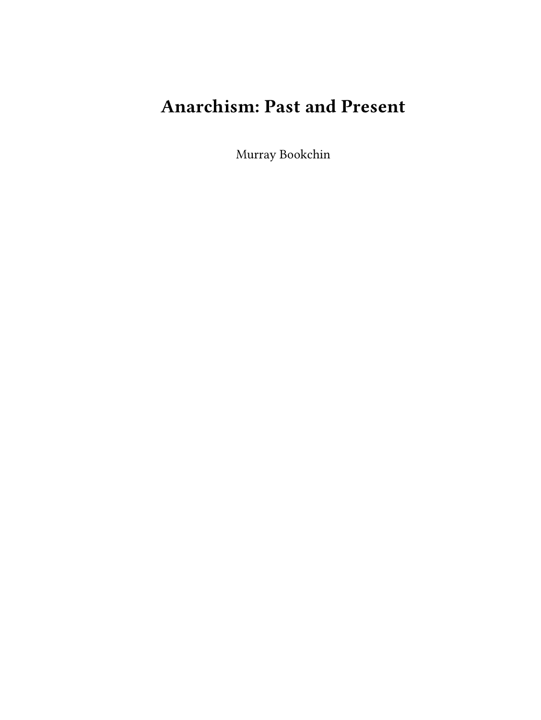# **Anarchism: Past and Present**

Murray Bookchin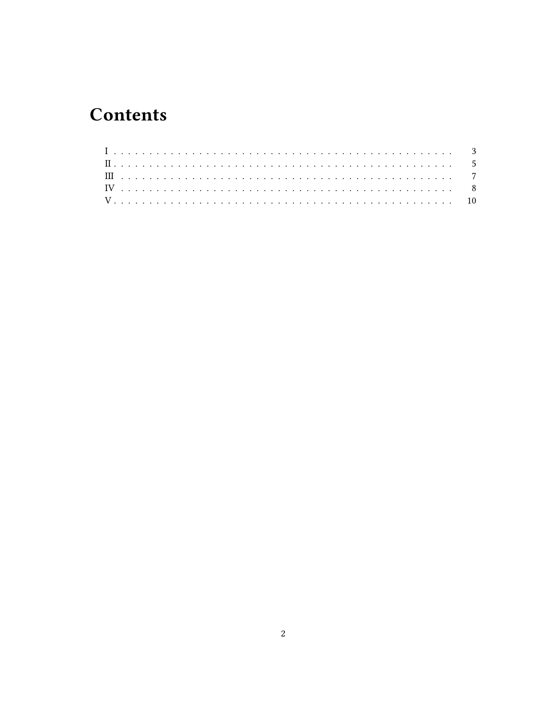## **Contents**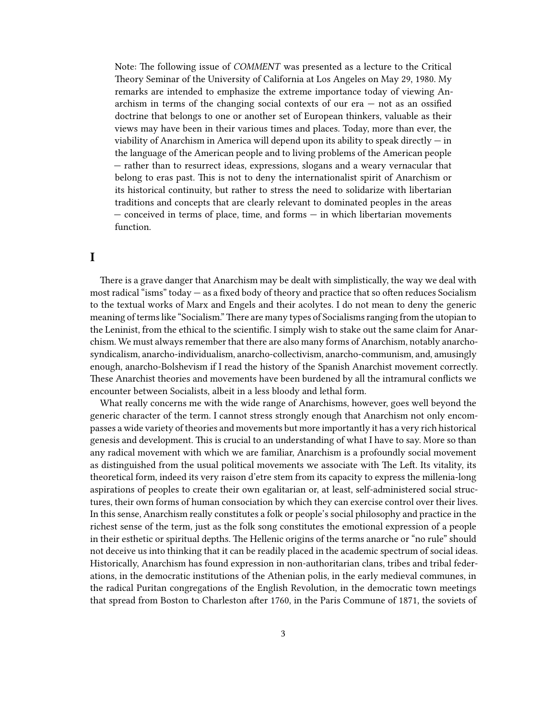Note: The following issue of *COMMENT* was presented as a lecture to the Critical Theory Seminar of the University of California at Los Angeles on May 29, 1980. My remarks are intended to emphasize the extreme importance today of viewing Anarchism in terms of the changing social contexts of our era — not as an ossified doctrine that belongs to one or another set of European thinkers, valuable as their views may have been in their various times and places. Today, more than ever, the viability of Anarchism in America will depend upon its ability to speak directly  $-$  in the language of the American people and to living problems of the American people — rather than to resurrect ideas, expressions, slogans and a weary vernacular that belong to eras past. This is not to deny the internationalist spirit of Anarchism or its historical continuity, but rather to stress the need to solidarize with libertarian traditions and concepts that are clearly relevant to dominated peoples in the areas — conceived in terms of place, time, and forms — in which libertarian movements function.

### <span id="page-2-0"></span>**I**

There is a grave danger that Anarchism may be dealt with simplistically, the way we deal with most radical "isms" today — as a fixed body of theory and practice that so often reduces Socialism to the textual works of Marx and Engels and their acolytes. I do not mean to deny the generic meaning of terms like "Socialism."There are many types of Socialisms ranging from the utopian to the Leninist, from the ethical to the scientific. I simply wish to stake out the same claim for Anarchism. We must always remember that there are also many forms of Anarchism, notably anarchosyndicalism, anarcho-individualism, anarcho-collectivism, anarcho-communism, and, amusingly enough, anarcho-Bolshevism if I read the history of the Spanish Anarchist movement correctly. These Anarchist theories and movements have been burdened by all the intramural conflicts we encounter between Socialists, albeit in a less bloody and lethal form.

What really concerns me with the wide range of Anarchisms, however, goes well beyond the generic character of the term. I cannot stress strongly enough that Anarchism not only encompasses a wide variety of theories and movements but more importantly it has a very rich historical genesis and development. This is crucial to an understanding of what I have to say. More so than any radical movement with which we are familiar, Anarchism is a profoundly social movement as distinguished from the usual political movements we associate with The Left. Its vitality, its theoretical form, indeed its very raison d'etre stem from its capacity to express the millenia-long aspirations of peoples to create their own egalitarian or, at least, self-administered social structures, their own forms of human consociation by which they can exercise control over their lives. In this sense, Anarchism really constitutes a folk or people's social philosophy and practice in the richest sense of the term, just as the folk song constitutes the emotional expression of a people in their esthetic or spiritual depths. The Hellenic origins of the terms anarche or "no rule" should not deceive us into thinking that it can be readily placed in the academic spectrum of social ideas. Historically, Anarchism has found expression in non-authoritarian clans, tribes and tribal federations, in the democratic institutions of the Athenian polis, in the early medieval communes, in the radical Puritan congregations of the English Revolution, in the democratic town meetings that spread from Boston to Charleston after 1760, in the Paris Commune of 1871, the soviets of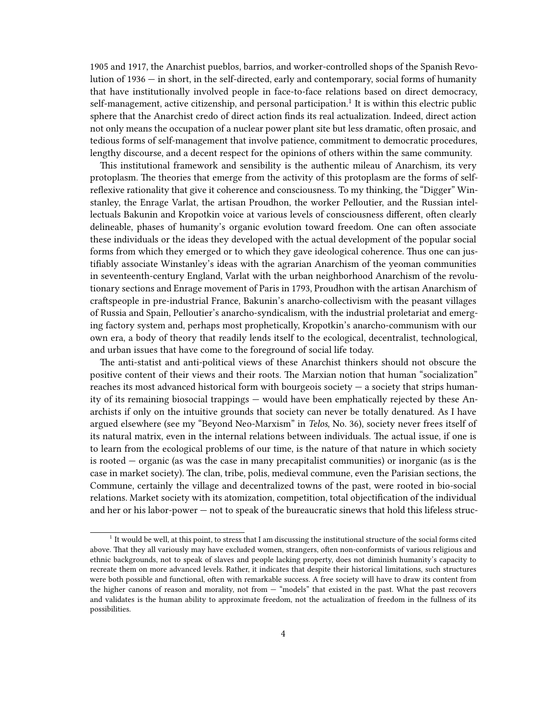1905 and 1917, the Anarchist pueblos, barrios, and worker-controlled shops of the Spanish Revolution of 1936 — in short, in the self-directed, early and contemporary, social forms of humanity that have institutionally involved people in face-to-face relations based on direct democracy, self-management, active citizenship, and personal participation.<sup>1</sup> It is within this electric public sphere that the Anarchist credo of direct action finds its real actualization. Indeed, direct action not only means the occupation of a nuclear power plant site but less dramatic, often prosaic, and tedious forms of self-management that involve patience, commitment to democratic procedures, lengthy discourse, and a decent respect for the opinions of others within the same community.

This institutional framework and sensibility is the authentic mileau of Anarchism, its very protoplasm. The theories that emerge from the activity of this protoplasm are the forms of selfreflexive rationality that give it coherence and consciousness. To my thinking, the "Digger" Winstanley, the Enrage Varlat, the artisan Proudhon, the worker Pelloutier, and the Russian intellectuals Bakunin and Kropotkin voice at various levels of consciousness different, often clearly delineable, phases of humanity's organic evolution toward freedom. One can often associate these individuals or the ideas they developed with the actual development of the popular social forms from which they emerged or to which they gave ideological coherence. Thus one can justifiably associate Winstanley's ideas with the agrarian Anarchism of the yeoman communities in seventeenth-century England, Varlat with the urban neighborhood Anarchism of the revolutionary sections and Enrage movement of Paris in 1793, Proudhon with the artisan Anarchism of craftspeople in pre-industrial France, Bakunin's anarcho-collectivism with the peasant villages of Russia and Spain, Pelloutier's anarcho-syndicalism, with the industrial proletariat and emerging factory system and, perhaps most prophetically, Kropotkin's anarcho-communism with our own era, a body of theory that readily lends itself to the ecological, decentralist, technological, and urban issues that have come to the foreground of social life today.

The anti-statist and anti-political views of these Anarchist thinkers should not obscure the positive content of their views and their roots. The Marxian notion that human "socialization" reaches its most advanced historical form with bourgeois society — a society that strips humanity of its remaining biosocial trappings — would have been emphatically rejected by these Anarchists if only on the intuitive grounds that society can never be totally denatured. As I have argued elsewhere (see my "Beyond Neo-Marxism" in *Telos*, No. 36), society never frees itself of its natural matrix, even in the internal relations between individuals. The actual issue, if one is to learn from the ecological problems of our time, is the nature of that nature in which society is rooted — organic (as was the case in many precapitalist communities) or inorganic (as is the case in market society). The clan, tribe, polis, medieval commune, even the Parisian sections, the Commune, certainly the village and decentralized towns of the past, were rooted in bio-social relations. Market society with its atomization, competition, total objectification of the individual and her or his labor-power — not to speak of the bureaucratic sinews that hold this lifeless struc-

<sup>&</sup>lt;sup>1</sup> It would be well, at this point, to stress that I am discussing the institutional structure of the social forms cited above. That they all variously may have excluded women, strangers, often non-conformists of various religious and ethnic backgrounds, not to speak of slaves and people lacking property, does not diminish humanity's capacity to recreate them on more advanced levels. Rather, it indicates that despite their historical limitations, such structures were both possible and functional, often with remarkable success. A free society will have to draw its content from the higher canons of reason and morality, not from — "models" that existed in the past. What the past recovers and validates is the human ability to approximate freedom, not the actualization of freedom in the fullness of its possibilities.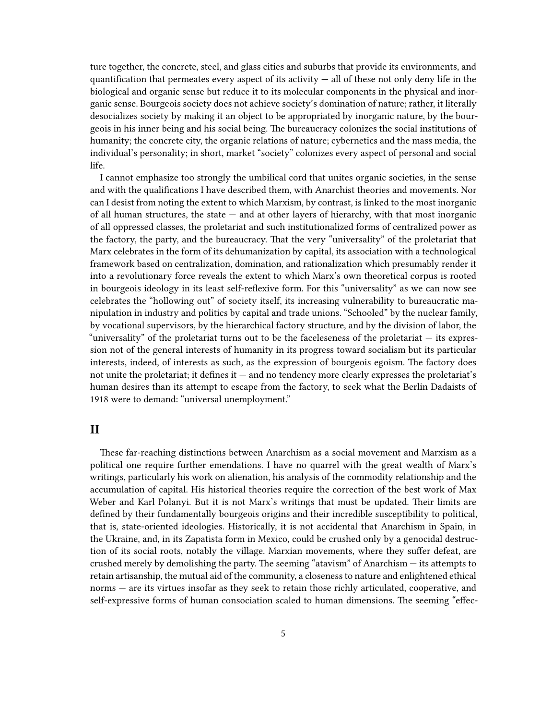ture together, the concrete, steel, and glass cities and suburbs that provide its environments, and quantification that permeates every aspect of its activity  $-$  all of these not only deny life in the biological and organic sense but reduce it to its molecular components in the physical and inorganic sense. Bourgeois society does not achieve society's domination of nature; rather, it literally desocializes society by making it an object to be appropriated by inorganic nature, by the bourgeois in his inner being and his social being. The bureaucracy colonizes the social institutions of humanity; the concrete city, the organic relations of nature; cybernetics and the mass media, the individual's personality; in short, market "society" colonizes every aspect of personal and social life.

I cannot emphasize too strongly the umbilical cord that unites organic societies, in the sense and with the qualifications I have described them, with Anarchist theories and movements. Nor can I desist from noting the extent to which Marxism, by contrast, is linked to the most inorganic of all human structures, the state — and at other layers of hierarchy, with that most inorganic of all oppressed classes, the proletariat and such institutionalized forms of centralized power as the factory, the party, and the bureaucracy. That the very "universality" of the proletariat that Marx celebrates in the form of its dehumanization by capital, its association with a technological framework based on centralization, domination, and rationalization which presumably render it into a revolutionary force reveals the extent to which Marx's own theoretical corpus is rooted in bourgeois ideology in its least self-reflexive form. For this "universality" as we can now see celebrates the "hollowing out" of society itself, its increasing vulnerability to bureaucratic manipulation in industry and politics by capital and trade unions. "Schooled" by the nuclear family, by vocational supervisors, by the hierarchical factory structure, and by the division of labor, the "universality" of the proletariat turns out to be the faceleseness of the proletariat — its expression not of the general interests of humanity in its progress toward socialism but its particular interests, indeed, of interests as such, as the expression of bourgeois egoism. The factory does not unite the proletariat; it defines it — and no tendency more clearly expresses the proletariat's human desires than its attempt to escape from the factory, to seek what the Berlin Dadaists of 1918 were to demand: "universal unemployment."

#### <span id="page-4-0"></span>**II**

These far-reaching distinctions between Anarchism as a social movement and Marxism as a political one require further emendations. I have no quarrel with the great wealth of Marx's writings, particularly his work on alienation, his analysis of the commodity relationship and the accumulation of capital. His historical theories require the correction of the best work of Max Weber and Karl Polanyi. But it is not Marx's writings that must be updated. Their limits are defined by their fundamentally bourgeois origins and their incredible susceptibility to political, that is, state-oriented ideologies. Historically, it is not accidental that Anarchism in Spain, in the Ukraine, and, in its Zapatista form in Mexico, could be crushed only by a genocidal destruction of its social roots, notably the village. Marxian movements, where they suffer defeat, are crushed merely by demolishing the party. The seeming "atavism" of Anarchism — its attempts to retain artisanship, the mutual aid of the community, a closeness to nature and enlightened ethical norms — are its virtues insofar as they seek to retain those richly articulated, cooperative, and self-expressive forms of human consociation scaled to human dimensions. The seeming "effec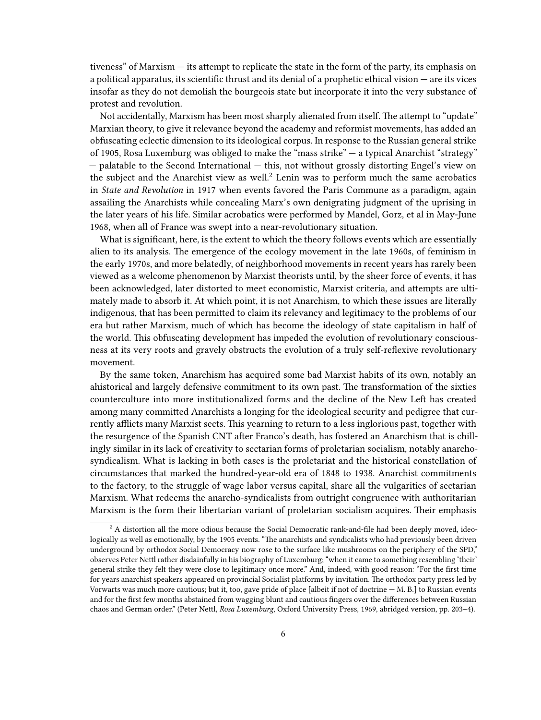tiveness" of Marxism — its attempt to replicate the state in the form of the party, its emphasis on a political apparatus, its scientific thrust and its denial of a prophetic ethical vision — are its vices insofar as they do not demolish the bourgeois state but incorporate it into the very substance of protest and revolution.

Not accidentally, Marxism has been most sharply alienated from itself. The attempt to "update" Marxian theory, to give it relevance beyond the academy and reformist movements, has added an obfuscating eclectic dimension to its ideological corpus. In response to the Russian general strike of 1905, Rosa Luxemburg was obliged to make the "mass strike" — a typical Anarchist "strategy" — palatable to the Second International — this, not without grossly distorting Engel's view on the subject and the Anarchist view as well. $2$  Lenin was to perform much the same acrobatics in *State and Revolution* in 1917 when events favored the Paris Commune as a paradigm, again assailing the Anarchists while concealing Marx's own denigrating judgment of the uprising in the later years of his life. Similar acrobatics were performed by Mandel, Gorz, et al in May-June 1968, when all of France was swept into a near-revolutionary situation.

What is significant, here, is the extent to which the theory follows events which are essentially alien to its analysis. The emergence of the ecology movement in the late 1960s, of feminism in the early 1970s, and more belatedly, of neighborhood movements in recent years has rarely been viewed as a welcome phenomenon by Marxist theorists until, by the sheer force of events, it has been acknowledged, later distorted to meet economistic, Marxist criteria, and attempts are ultimately made to absorb it. At which point, it is not Anarchism, to which these issues are literally indigenous, that has been permitted to claim its relevancy and legitimacy to the problems of our era but rather Marxism, much of which has become the ideology of state capitalism in half of the world. This obfuscating development has impeded the evolution of revolutionary consciousness at its very roots and gravely obstructs the evolution of a truly self-reflexive revolutionary movement.

By the same token, Anarchism has acquired some bad Marxist habits of its own, notably an ahistorical and largely defensive commitment to its own past. The transformation of the sixties counterculture into more institutionalized forms and the decline of the New Left has created among many committed Anarchists a longing for the ideological security and pedigree that currently afflicts many Marxist sects. This yearning to return to a less inglorious past, together with the resurgence of the Spanish CNT after Franco's death, has fostered an Anarchism that is chillingly similar in its lack of creativity to sectarian forms of proletarian socialism, notably anarchosyndicalism. What is lacking in both cases is the proletariat and the historical constellation of circumstances that marked the hundred-year-old era of 1848 to 1938. Anarchist commitments to the factory, to the struggle of wage labor versus capital, share all the vulgarities of sectarian Marxism. What redeems the anarcho-syndicalists from outright congruence with authoritarian Marxism is the form their libertarian variant of proletarian socialism acquires. Their emphasis

 $2$  A distortion all the more odious because the Social Democratic rank-and-file had been deeply moved, ideologically as well as emotionally, by the 1905 events. "The anarchists and syndicalists who had previously been driven underground by orthodox Social Democracy now rose to the surface like mushrooms on the periphery of the SPD," observes Peter Nettl rather disdainfully in his biography of Luxemburg; "when it came to something resembling 'their' general strike they felt they were close to legitimacy once more." And, indeed, with good reason: "For the first time for years anarchist speakers appeared on provincial Socialist platforms by invitation. The orthodox party press led by Vorwarts was much more cautious; but it, too, gave pride of place [albeit if not of doctrine — M. B.] to Russian events and for the first few months abstained from wagging blunt and cautious fingers over the differences between Russian chaos and German order." (Peter Nettl, *Rosa Luxemburg*, Oxford University Press, 1969, abridged version, pp. 203–4).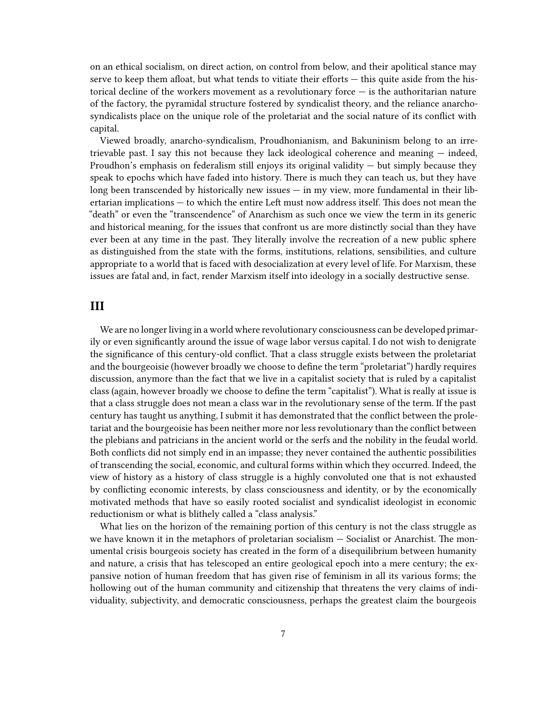on an ethical socialism, on direct action, on control from below, and their apolitical stance may serve to keep them afloat, but what tends to vitiate their efforts — this quite aside from the historical decline of the workers movement as a revolutionary force  $-$  is the authoritarian nature of the factory, the pyramidal structure fostered by syndicalist theory, and the reliance anarchosyndicalists place on the unique role of the proletariat and the social nature of its conflict with capital.

Viewed broadly, anarcho-syndicalism, Proudhonianism, and Bakuninism belong to an irretrievable past. I say this not because they lack ideological coherence and meaning — indeed, Proudhon's emphasis on federalism still enjoys its original validity  $-$  but simply because they speak to epochs which have faded into history. There is much they can teach us, but they have long been transcended by historically new issues — in my view, more fundamental in their libertarian implications — to which the entire Left must now address itself. This does not mean the "death" or even the "transcendence" of Anarchism as such once we view the term in its generic and historical meaning, for the issues that confront us are more distinctly social than they have ever been at any time in the past. They literally involve the recreation of a new public sphere as distinguished from the state with the forms, institutions, relations, sensibilities, and culture appropriate to a world that is faced with desocialization at every level of life. For Marxism, these issues are fatal and, in fact, render Marxism itself into ideology in a socially destructive sense.

#### <span id="page-6-0"></span>**III**

We are no longer living in a world where revolutionary consciousness can be developed primarily or even significantly around the issue of wage labor versus capital. I do not wish to denigrate the significance of this century-old conflict. That a class struggle exists between the proletariat and the bourgeoisie (however broadly we choose to define the term "proletariat") hardly requires discussion, anymore than the fact that we live in a capitalist society that is ruled by a capitalist class (again, however broadly we choose to define the term "capitalist"). What is really at issue is that a class struggle does not mean a class war in the revolutionary sense of the term. If the past century has taught us anything, I submit it has demonstrated that the conflict between the proletariat and the bourgeoisie has been neither more nor less revolutionary than the conflict between the plebians and patricians in the ancient world or the serfs and the nobility in the feudal world. Both conflicts did not simply end in an impasse; they never contained the authentic possibilities of transcending the social, economic, and cultural forms within which they occurred. Indeed, the view of history as a history of class struggle is a highly convoluted one that is not exhausted by conflicting economic interests, by class consciousness and identity, or by the economically motivated methods that have so easily rooted socialist and syndicalist ideologist in economic reductionism or what is blithely called a "class analysis."

What lies on the horizon of the remaining portion of this century is not the class struggle as we have known it in the metaphors of proletarian socialism — Socialist or Anarchist. The monumental crisis bourgeois society has created in the form of a disequilibrium between humanity and nature, a crisis that has telescoped an entire geological epoch into a mere century; the expansive notion of human freedom that has given rise of feminism in all its various forms; the hollowing out of the human community and citizenship that threatens the very claims of individuality, subjectivity, and democratic consciousness, perhaps the greatest claim the bourgeois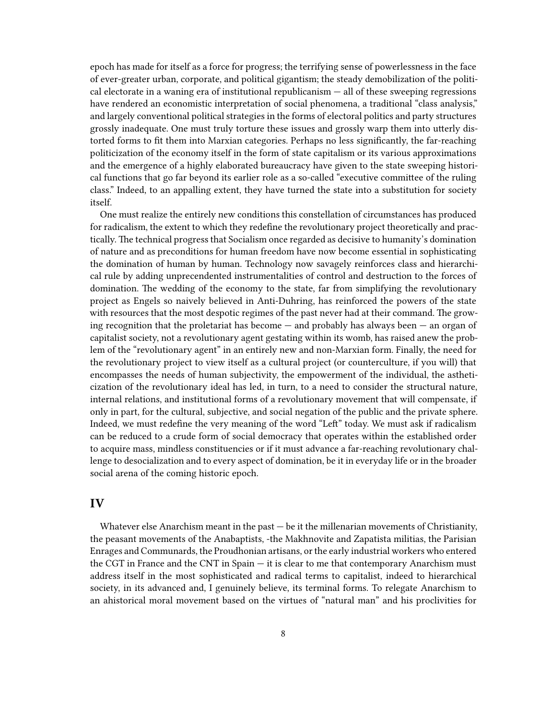epoch has made for itself as a force for progress; the terrifying sense of powerlessness in the face of ever-greater urban, corporate, and political gigantism; the steady demobilization of the political electorate in a waning era of institutional republicanism — all of these sweeping regressions have rendered an economistic interpretation of social phenomena, a traditional "class analysis," and largely conventional political strategies in the forms of electoral politics and party structures grossly inadequate. One must truly torture these issues and grossly warp them into utterly distorted forms to fit them into Marxian categories. Perhaps no less significantly, the far-reaching politicization of the economy itself in the form of state capitalism or its various approximations and the emergence of a highly elaborated bureaucracy have given to the state sweeping historical functions that go far beyond its earlier role as a so-called "executive committee of the ruling class." Indeed, to an appalling extent, they have turned the state into a substitution for society itself.

One must realize the entirely new conditions this constellation of circumstances has produced for radicalism, the extent to which they redefine the revolutionary project theoretically and practically. The technical progress that Socialism once regarded as decisive to humanity's domination of nature and as preconditions for human freedom have now become essential in sophisticating the domination of human by human. Technology now savagely reinforces class and hierarchical rule by adding unprecendented instrumentalities of control and destruction to the forces of domination. The wedding of the economy to the state, far from simplifying the revolutionary project as Engels so naively believed in Anti-Duhring, has reinforced the powers of the state with resources that the most despotic regimes of the past never had at their command. The growing recognition that the proletariat has become — and probably has always been — an organ of capitalist society, not a revolutionary agent gestating within its womb, has raised anew the problem of the "revolutionary agent" in an entirely new and non-Marxian form. Finally, the need for the revolutionary project to view itself as a cultural project (or counterculture, if you will) that encompasses the needs of human subjectivity, the empowerment of the individual, the astheticization of the revolutionary ideal has led, in turn, to a need to consider the structural nature, internal relations, and institutional forms of a revolutionary movement that will compensate, if only in part, for the cultural, subjective, and social negation of the public and the private sphere. Indeed, we must redefine the very meaning of the word "Left" today. We must ask if radicalism can be reduced to a crude form of social democracy that operates within the established order to acquire mass, mindless constituencies or if it must advance a far-reaching revolutionary challenge to desocialization and to every aspect of domination, be it in everyday life or in the broader social arena of the coming historic epoch.

#### <span id="page-7-0"></span>**IV**

Whatever else Anarchism meant in the past — be it the millenarian movements of Christianity, the peasant movements of the Anabaptists, -the Makhnovite and Zapatista militias, the Parisian Enrages and Communards, the Proudhonian artisans, or the early industrial workers who entered the CGT in France and the CNT in Spain — it is clear to me that contemporary Anarchism must address itself in the most sophisticated and radical terms to capitalist, indeed to hierarchical society, in its advanced and, I genuinely believe, its terminal forms. To relegate Anarchism to an ahistorical moral movement based on the virtues of "natural man" and his proclivities for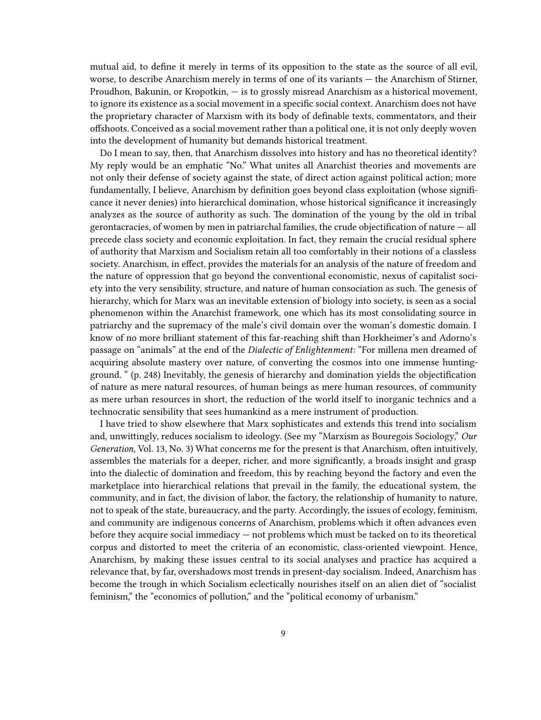mutual aid, to define it merely in terms of its opposition to the state as the source of all evil, worse, to describe Anarchism merely in terms of one of its variants — the Anarchism of Stirner, Proudhon, Bakunin, or Kropotkin, — is to grossly misread Anarchism as a historical movement, to ignore its existence as a social movement in a specific social context. Anarchism does not have the proprietary character of Marxism with its body of definable texts, commentators, and their offshoots. Conceived as a social movement rather than a political one, it is not only deeply woven into the development of humanity but demands historical treatment.

Do I mean to say, then, that Anarchism dissolves into history and has no theoretical identity? My reply would be an emphatic "No." What unites all Anarchist theories and movements are not only their defense of society against the state, of direct action against political action; more fundamentally, I believe, Anarchism by definition goes beyond class exploitation (whose significance it never denies) into hierarchical domination, whose historical significance it increasingly analyzes as the source of authority as such. The domination of the young by the old in tribal gerontacracies, of women by men in patriarchal families, the crude objectification of nature — all precede class society and economic exploitation. In fact, they remain the crucial residual sphere of authority that Marxism and Socialism retain all too comfortably in their notions of a classless society. Anarchism, in effect, provides the materials for an analysis of the nature of freedom and the nature of oppression that go beyond the conventional economistic, nexus of capitalist society into the very sensibility, structure, and nature of human consociation as such. The genesis of hierarchy, which for Marx was an inevitable extension of biology into society, is seen as a social phenomenon within the Anarchist framework, one which has its most consolidating source in patriarchy and the supremacy of the male's civil domain over the woman's domestic domain. I know of no more brilliant statement of this far-reaching shift than Horkheimer's and Adorno's passage on "animals" at the end of the *Dialectic of Enlightenment*: "For millena men dreamed of acquiring absolute mastery over nature, of converting the cosmos into one immense huntingground. " (p. 248) Inevitably, the genesis of hierarchy and domination yields the objectification of nature as mere natural resources, of human beings as mere human resources, of community as mere urban resources in short, the reduction of the world itself to inorganic technics and a technocratic sensibility that sees humankind as a mere instrument of production.

I have tried to show elsewhere that Marx sophisticates and extends this trend into socialism and, unwittingly, reduces socialism to ideology. (See my "Marxism as Bouregois Sociology," *Our Generation*, Vol. 13, No. 3) What concerns me for the present is that Anarchism, often intuitively, assembles the materials for a deeper, richer, and more significantly, a broads insight and grasp into the dialectic of domination and freedom, this by reaching beyond the factory and even the marketplace into hierarchical relations that prevail in the family, the educational system, the community, and in fact, the division of labor, the factory, the relationship of humanity to nature, not to speak of the state, bureaucracy, and the party. Accordingly, the issues of ecology, feminism, and community are indigenous concerns of Anarchism, problems which it often advances even before they acquire social immediacy — not problems which must be tacked on to its theoretical corpus and distorted to meet the criteria of an economistic, class-oriented viewpoint. Hence, Anarchism, by making these issues central to its social analyses and practice has acquired a relevance that, by far, overshadows most trends in present-day socialism. Indeed, Anarchism has become the trough in which Socialism eclectically nourishes itself on an alien diet of "socialist feminism," the "economics of pollution," and the "political economy of urbanism."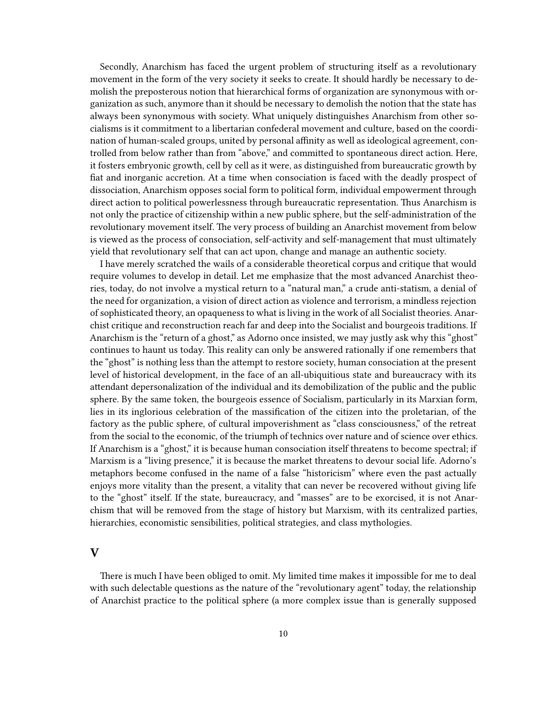Secondly, Anarchism has faced the urgent problem of structuring itself as a revolutionary movement in the form of the very society it seeks to create. It should hardly be necessary to demolish the preposterous notion that hierarchical forms of organization are synonymous with organization as such, anymore than it should be necessary to demolish the notion that the state has always been synonymous with society. What uniquely distinguishes Anarchism from other socialisms is it commitment to a libertarian confederal movement and culture, based on the coordination of human-scaled groups, united by personal affinity as well as ideological agreement, controlled from below rather than from "above," and committed to spontaneous direct action. Here, it fosters embryonic growth, cell by cell as it were, as distinguished from bureaucratic growth by fiat and inorganic accretion. At a time when consociation is faced with the deadly prospect of dissociation, Anarchism opposes social form to political form, individual empowerment through direct action to political powerlessness through bureaucratic representation. Thus Anarchism is not only the practice of citizenship within a new public sphere, but the self-administration of the revolutionary movement itself. The very process of building an Anarchist movement from below is viewed as the process of consociation, self-activity and self-management that must ultimately yield that revolutionary self that can act upon, change and manage an authentic society.

I have merely scratched the wails of a considerable theoretical corpus and critique that would require volumes to develop in detail. Let me emphasize that the most advanced Anarchist theories, today, do not involve a mystical return to a "natural man," a crude anti-statism, a denial of the need for organization, a vision of direct action as violence and terrorism, a mindless rejection of sophisticated theory, an opaqueness to what is living in the work of all Socialist theories. Anarchist critique and reconstruction reach far and deep into the Socialist and bourgeois traditions. If Anarchism is the "return of a ghost," as Adorno once insisted, we may justly ask why this "ghost" continues to haunt us today. This reality can only be answered rationally if one remembers that the "ghost" is nothing less than the attempt to restore society, human consociation at the present level of historical development, in the face of an all-ubiquitious state and bureaucracy with its attendant depersonalization of the individual and its demobilization of the public and the public sphere. By the same token, the bourgeois essence of Socialism, particularly in its Marxian form, lies in its inglorious celebration of the massification of the citizen into the proletarian, of the factory as the public sphere, of cultural impoverishment as "class consciousness," of the retreat from the social to the economic, of the triumph of technics over nature and of science over ethics. If Anarchism is a "ghost," it is because human consociation itself threatens to become spectral; if Marxism is a "living presence," it is because the market threatens to devour social life. Adorno's metaphors become confused in the name of a false "historicism" where even the past actually enjoys more vitality than the present, a vitality that can never be recovered without giving life to the "ghost" itself. If the state, bureaucracy, and "masses" are to be exorcised, it is not Anarchism that will be removed from the stage of history but Marxism, with its centralized parties, hierarchies, economistic sensibilities, political strategies, and class mythologies.

#### <span id="page-9-0"></span>**V**

There is much I have been obliged to omit. My limited time makes it impossible for me to deal with such delectable questions as the nature of the "revolutionary agent" today, the relationship of Anarchist practice to the political sphere (a more complex issue than is generally supposed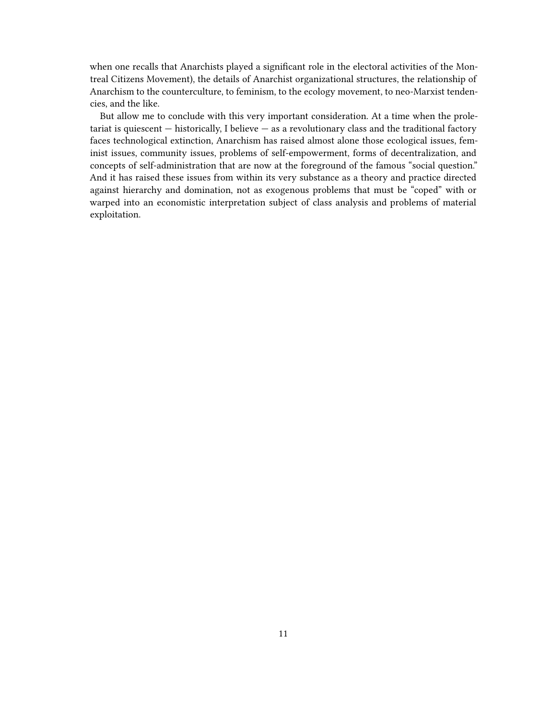when one recalls that Anarchists played a significant role in the electoral activities of the Montreal Citizens Movement), the details of Anarchist organizational structures, the relationship of Anarchism to the counterculture, to feminism, to the ecology movement, to neo-Marxist tendencies, and the like.

But allow me to conclude with this very important consideration. At a time when the proletariat is quiescent  $-$  historically, I believe  $-$  as a revolutionary class and the traditional factory faces technological extinction, Anarchism has raised almost alone those ecological issues, feminist issues, community issues, problems of self-empowerment, forms of decentralization, and concepts of self-administration that are now at the foreground of the famous "social question." And it has raised these issues from within its very substance as a theory and practice directed against hierarchy and domination, not as exogenous problems that must be "coped" with or warped into an economistic interpretation subject of class analysis and problems of material exploitation.